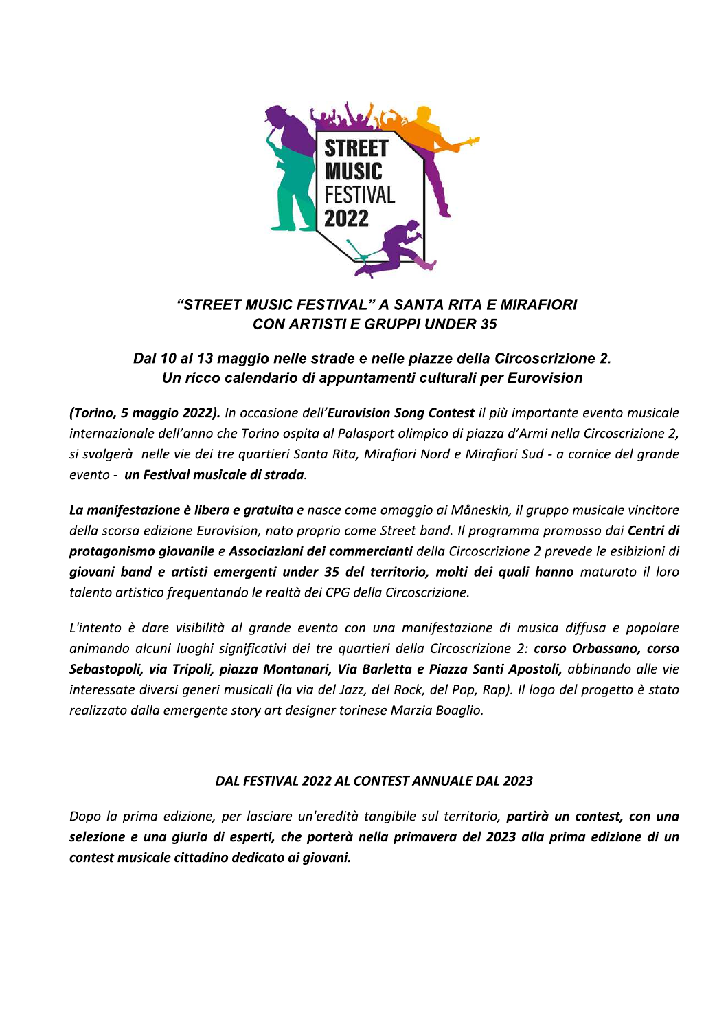

# "STREET MUSIC FESTIVAL" A SANTA RITA E MIRAFIORI **CON ARTISTI E GRUPPI UNDER 35**

## Dal 10 al 13 maggio nelle strade e nelle piazze della Circoscrizione 2. Un ricco calendario di appuntamenti culturali per Eurovision

(Torino, 5 maggio 2022). In occasione dell'Eurovision Song Contest il più importante evento musicale internazionale dell'anno che Torino ospita al Palasport olimpico di piazza d'Armi nella Circoscrizione 2, si svolgerà nelle vie dei tre quartieri Santa Rita, Mirafiori Nord e Mirafiori Sud - a cornice del grande evento - un Festival musicale di strada.

La manifestazione è libera e gratuita e nasce come omaggio ai Måneskin, il gruppo musicale vincitore della scorsa edizione Eurovision, nato proprio come Street band. Il programma promosso dai Centri di protagonismo giovanile e Associazioni dei commercianti della Circoscrizione 2 prevede le esibizioni di giovani band e artisti emergenti under 35 del territorio, molti dei quali hanno maturato il loro talento artistico frequentando le realtà dei CPG della Circoscrizione.

L'intento è dare visibilità al grande evento con una manifestazione di musica diffusa e popolare animando alcuni luoghi significativi dei tre quartieri della Circoscrizione 2: corso Orbassano, corso Sebastopoli, via Tripoli, piazza Montanari, Via Barletta e Piazza Santi Apostoli, abbinando alle vie interessate diversi generi musicali (la via del Jazz, del Rock, del Pop, Rap). Il logo del progetto è stato realizzato dalla emergente story art designer torinese Marzia Boaglio.

## DAL FESTIVAL 2022 AL CONTEST ANNUALE DAL 2023

Dopo la prima edizione, per lasciare un'eredità tangibile sul territorio, partirà un contest, con una selezione e una giuria di esperti, che porterà nella primavera del 2023 alla prima edizione di un contest musicale cittadino dedicato ai giovani.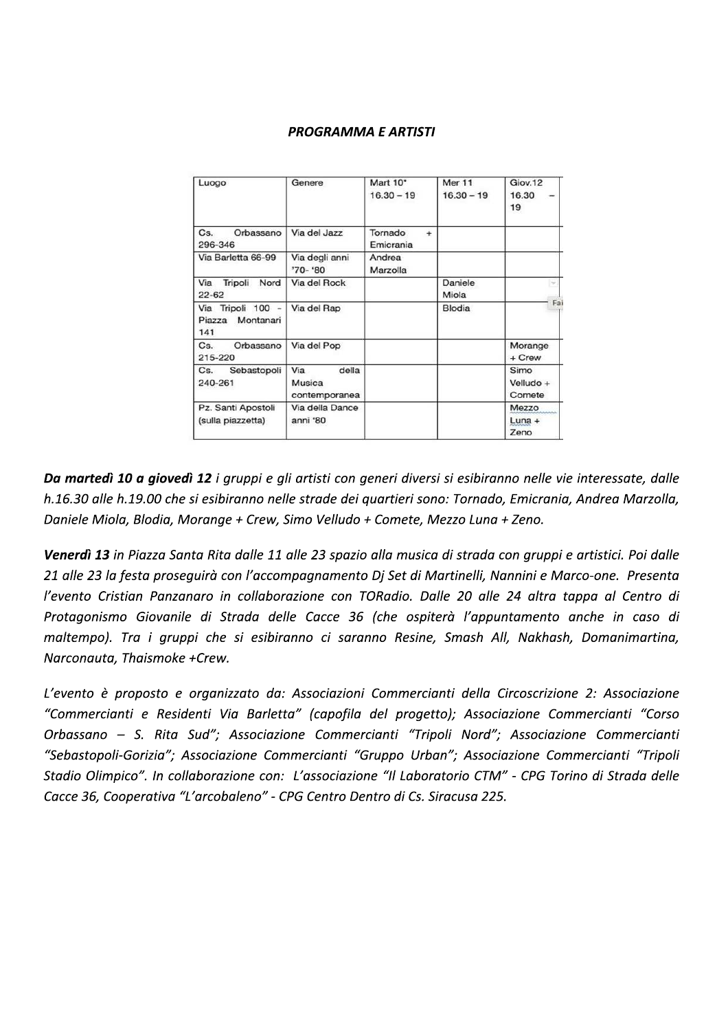## **PROGRAMMA E ARTISTI**

| Luogo                                        | Genere                                  | Mart 10*<br>$16.30 - 19$          | <b>Mer 11</b><br>$16.30 - 19$ | Giov.12<br>16.30<br>19      |
|----------------------------------------------|-----------------------------------------|-----------------------------------|-------------------------------|-----------------------------|
| Cs.<br>Orbassano<br>296-346                  | Via del Jazz                            | Tornado<br>$\ddot{}$<br>Emicrania |                               |                             |
| Via Barletta 66-99                           | Via degli anni<br>'70-'80               | Andrea<br>Marzolla                |                               |                             |
| Tripoli<br>Via<br>Nord<br>$22 - 62$          | Via del Rock                            |                                   | Daniele<br>Miola              | $\rightarrow$               |
| Via Tripoli 100 -<br>Piazza Montanari<br>141 | Via del Rap                             |                                   | <b>Blodia</b>                 | Fai                         |
| Orbassano<br>Cs.<br>215-220                  | Via del Pop                             |                                   |                               | Morange<br>+ Crew           |
| Sebastopoli<br>Cs.<br>240-261                | Via<br>della<br>Musica<br>contemporanea |                                   |                               | Simo<br>Velludo +<br>Comete |
| Pz. Santi Apostoli<br>(sulla piazzetta)      | Via della Dance<br>anni '80             |                                   |                               | Mezzo<br>$Luna +$<br>Zeno   |

Da martedì 10 a giovedì 12 i gruppi e gli artisti con generi diversi si esibiranno nelle vie interessate, dalle h.16.30 alle h.19.00 che si esibiranno nelle strade dei quartieri sono: Tornado, Emicrania, Andrea Marzolla, Daniele Miola, Blodia, Morange + Crew, Simo Velludo + Comete, Mezzo Luna + Zeno.

Venerdì 13 in Piazza Santa Rita dalle 11 alle 23 spazio alla musica di strada con gruppi e artistici. Poi dalle 21 alle 23 la festa proseguirà con l'accompagnamento Dj Set di Martinelli, Nannini e Marco-one. Presenta l'evento Cristian Panzanaro in collaborazione con TORadio. Dalle 20 alle 24 altra tappa al Centro di Protagonismo Giovanile di Strada delle Cacce 36 (che ospiterà l'appuntamento anche in caso di maltempo). Tra i gruppi che si esibiranno ci saranno Resine, Smash All, Nakhash, Domanimartina, Narconauta, Thaismoke +Crew.

L'evento è proposto e organizzato da: Associazioni Commercianti della Circoscrizione 2: Associazione "Commercianti e Residenti Via Barletta" (capofila del progetto); Associazione Commercianti "Corso Orbassano - S. Rita Sud"; Associazione Commercianti "Tripoli Nord"; Associazione Commercianti "Sebastopoli-Gorizia"; Associazione Commercianti "Gruppo Urban"; Associazione Commercianti "Tripoli Stadio Olimpico". In collaborazione con: L'associazione "Il Laboratorio CTM" - CPG Torino di Strada delle Cacce 36, Cooperativa "L'arcobaleno" - CPG Centro Dentro di Cs. Siracusa 225.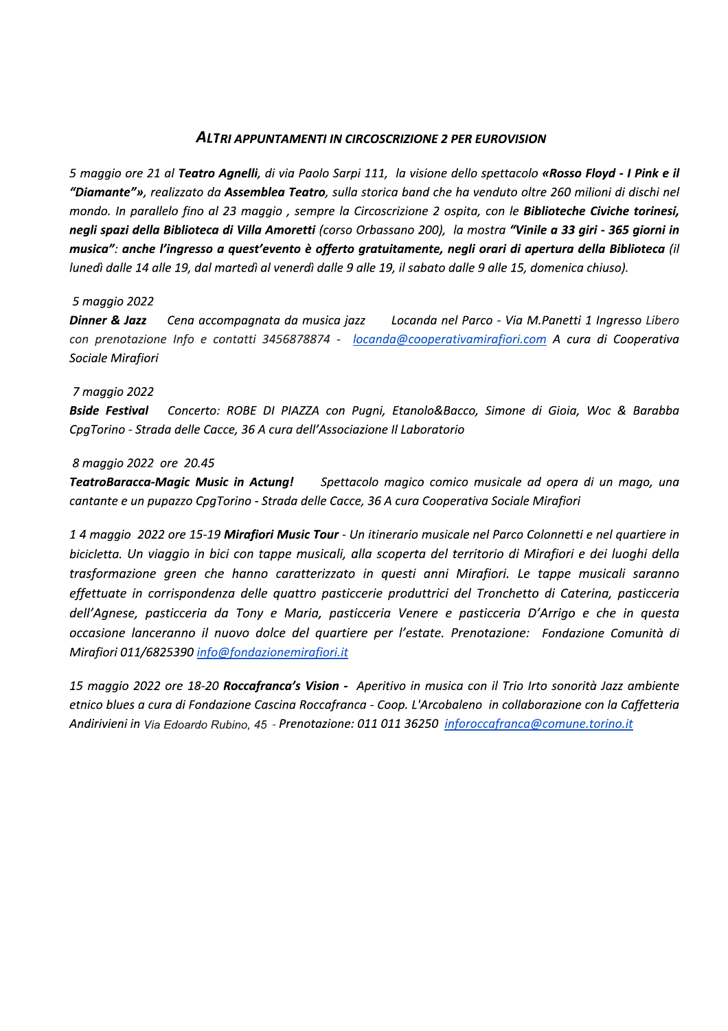#### **ALTRI APPUNTAMENTI IN CIRCOSCRIZIONE 2 PER EUROVISION**

5 maggio ore 21 al Teatro Agnelli, di via Paolo Sarpi 111, la visione dello spettacolo «Rosso Floyd - I Pink e il "Diamante"», realizzato da Assemblea Teatro, sulla storica band che ha venduto oltre 260 milioni di dischi nel mondo. In parallelo fino al 23 maggio, sempre la Circoscrizione 2 ospita, con le Biblioteche Civiche torinesi, negli spazi della Biblioteca di Villa Amoretti (corso Orbassano 200), la mostra "Vinile a 33 giri - 365 giorni in musica": anche l'ingresso a quest'evento è offerto gratuitamente, negli orari di apertura della Biblioteca (il lunedì dalle 14 alle 19, dal martedì al venerdì dalle 9 alle 19, il sabato dalle 9 alle 15, domenica chiuso).

#### 5 maggio 2022

Locanda nel Parco - Via M.Panetti 1 Ingresso Libero Dinner & Jazz Cena accompagnata da musica jazz con prenotazione Info e contatti 3456878874 - locanda@cooperativamirafiori.com A cura di Cooperativa Sociale Mirafiori

#### 7 maggio 2022

Bside Festival Concerto: ROBE DI PIAZZA con Pugni, Etanolo&Bacco, Simone di Gioia, Woc & Barabba CpaTorino - Strada delle Cacce, 36 A cura dell'Associazione Il Laboratorio

#### 8 maggio 2022 ore 20.45

**TeatroBaracca-Magic Music in Actung!** Spettacolo magico comico musicale ad opera di un mago, una cantante e un pupazzo CpgTorino - Strada delle Cacce, 36 A cura Cooperativa Sociale Mirafiori

14 maggio 2022 ore 15-19 Mirafiori Music Tour - Un itinerario musicale nel Parco Colonnetti e nel quartiere in bicicletta. Un viaggio in bici con tappe musicali, alla scoperta del territorio di Mirafiori e dei luoghi della trasformazione green che hanno caratterizzato in questi anni Mirafiori. Le tappe musicali saranno effettuate in corrispondenza delle quattro pasticcerie produttrici del Tronchetto di Caterina, pasticceria dell'Agnese, pasticceria da Tony e Maria, pasticceria Venere e pasticceria D'Arrigo e che in questa occasione lanceranno il nuovo dolce del quartiere per l'estate. Prenotazione: Fondazione Comunità di Mirafiori 011/6825390 info@fondazionemirafiori.it

15 maggio 2022 ore 18-20 Roccafranca's Vision - Aperitivo in musica con il Trio Irto sonorità Jazz ambiente etnico blues a cura di Fondazione Cascina Roccafranca - Coop. L'Arcobaleno in collaborazione con la Caffetteria Andirivieni in Via Edoardo Rubino, 45 - Prenotazione: 011 011 36250 inforoccafranca@comune.torino.it